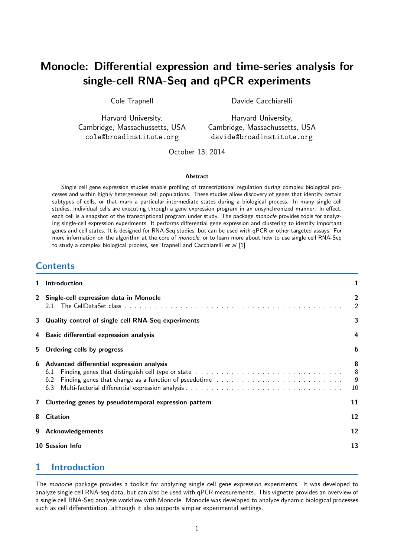# Monocle: Differential expression and time-series analysis for single-cell RNA-Seq and qPCR experiments

Cole Trapnell

Davide Cacchiarelli

Harvard University, Cambridge, Massachussetts, USA cole@broadinstitute.org

Harvard University, Cambridge, Massachussetts, USA davide@broadinstitute.org

October 13, 2014

#### Abstract

Single cell gene expression studies enable profiling of transcriptional regulation during complex biological processes and within highly hetergeneous cell populations. These studies allow discovery of genes that identify certain subtypes of cells, or that mark a particular intermediate states during a biological process. In many single cell studies, individual cells are executing through a gene expression program in an unsynchronized manner. In effect, each cell is a snapshot of the transcriptional program under study. The package monocle provides tools for analyzing single-cell expression experiments. It performs differential gene expression and clustering to identify important genes and cell states. It is designed for RNA-Seq studies, but can be used with qPCR or other targeted assays. For more information on the algorithm at the core of monocle, or to learn more about how to use single cell RNA-Seq to study a complex biological process, see Trapnell and Cacchiarelli et al [\[1\]](#page-12-0)

### **Contents**

| $\mathbf{1}$ | <b>Introduction</b>                                            |                    |  |  |  |  |  |
|--------------|----------------------------------------------------------------|--------------------|--|--|--|--|--|
|              | 2 Single-cell expression data in Monocle                       |                    |  |  |  |  |  |
|              | 3 Quality control of single cell RNA-Seq experiments           |                    |  |  |  |  |  |
| 4            | <b>Basic differential expression analysis</b>                  |                    |  |  |  |  |  |
| 5.           | Ordering cells by progress                                     |                    |  |  |  |  |  |
| 6            | Advanced differential expression analysis<br>6.1<br>6.2<br>6.3 | 8<br>8<br>-9<br>10 |  |  |  |  |  |
|              | 7 Clustering genes by pseudotemporal expression pattern        |                    |  |  |  |  |  |
| 8            | <b>Citation</b>                                                |                    |  |  |  |  |  |
| 9            | <b>Acknowledgements</b>                                        |                    |  |  |  |  |  |
|              | 10 Session Info                                                | 13                 |  |  |  |  |  |

# <span id="page-0-0"></span>1 Introduction

The monocle package provides a toolkit for analyzing single cell gene expression experiments. It was developed to analyze single cell RNA-seq data, but can also be used with qPCR measurements. This vignette provides an overview of a single cell RNA-Seq analysis workflow with Monocle. Monocle was developed to analyze dynamic biological processes such as cell differentiation, although it also supports simpler experimental settings.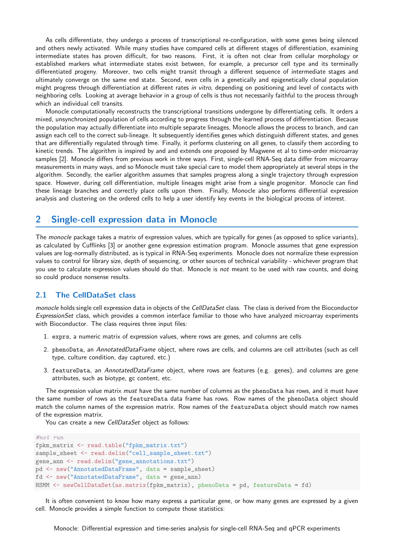As cells differentiate, they undergo a process of transcriptional re-configuration, with some genes being silenced and others newly activated. While many studies have compared cells at different stages of differentiation, examining intermediate states has proven difficult, for two reasons. First, it is often not clear from cellular morphology or established markers what intermediate states exist between, for example, a precursor cell type and its terminally differentiated progeny. Moreover, two cells might transit through a different sequence of intermediate stages and ultimately converge on the same end state. Second, even cells in a genetically and epigenetically clonal population might progress through differentiation at different rates in vitro, depending on positioning and level of contacts with neighboring cells. Looking at average behavior in a group of cells is thus not necessarily faithful to the process through which an individual cell transits.

Monocle computationally reconstructs the transcriptional transitions undergone by differentiating cells. It orders a mixed, unsynchronized population of cells according to progress through the learned process of differentiation. Because the population may actually differentiate into multiple separate lineages, Monocle allows the process to branch, and can assign each cell to the correct sub-lineage. It subsequently identifies genes which distinguish different states, and genes that are differentially regulated through time. Finally, it performs clustering on all genes, to classify them according to kinetic trends. The algorithm is inspired by and and extends one proposed by Magwene et al to time-order microarray samples [\[2\]](#page-12-2). Monocle differs from previous work in three ways. First, single-cell RNA-Seq data differ from microarray measurements in many ways, and so Monocle must take special care to model them appropriately at several steps in the algorithm. Secondly, the earlier algorithm assumes that samples progress along a single trajectory through expression space. However, during cell differentiation, multiple lineages might arise from a single progenitor. Monocle can find these lineage branches and correctly place cells upon them. Finally, Monocle also performs differential expression analysis and clustering on the ordered cells to help a user identify key events in the biological process of interest.

#### <span id="page-1-0"></span>2 Single-cell expression data in Monocle

The monocle package takes a matrix of expression values, which are typically for genes (as opposed to splice variants), as calculated by Cufflinks [\[3\]](#page-12-3) or another gene expression estimation program. Monocle assumes that gene expression values are log-normally distributed, as is typical in RNA-Seq experiments. Monocle does not normalize these expression values to control for library size, depth of sequencing, or other sources of technical variability - whichever program that you use to calculate expression values should do that. Monocle is not meant to be used with raw counts, and doing so could produce nonsense results.

#### <span id="page-1-1"></span>2.1 The CellDataSet class

monocle holds single cell expression data in objects of the CellDataSet class. The class is derived from the Bioconductor ExpressionSet class, which provides a common interface familiar to those who have analyzed microarray experiments with Bioconductor. The class requires three input files:

- 1. exprs, a numeric matrix of expression values, where rows are genes, and columns are cells
- 2. phenoData, an AnnotatedDataFrame object, where rows are cells, and columns are cell attributes (such as cell type, culture condition, day captured, etc.)
- 3. featureData, an AnnotatedDataFrame object, where rows are features (e.g. genes), and columns are gene attributes, such as biotype, gc content, etc.

The expression value matrix *must* have the same number of columns as the phenoData has rows, and it must have the same number of rows as the featureData data frame has rows. Row names of the phenoData object should match the column names of the expression matrix. Row names of the featureData object should match row names of the expression matrix.

You can create a new CellDataSet object as follows:

```
#not run
fpkm_matrix <- read.table("fpkm_matrix.txt")
sample_sheet <- read.delim("cell_sample_sheet.txt")
gene_ann <- read.delim("gene_annotations.txt")
pd <- new("AnnotatedDataFrame", data = sample_sheet)
fd <- new("AnnotatedDataFrame", data = gene_ann)
HSMM <- newCellDataSet(as.matrix(fpkm_matrix), phenoData = pd, featureData = fd)
```
It is often convenient to know how many express a particular gene, or how many genes are expressed by a given cell. Monocle provides a simple function to compute those statistics: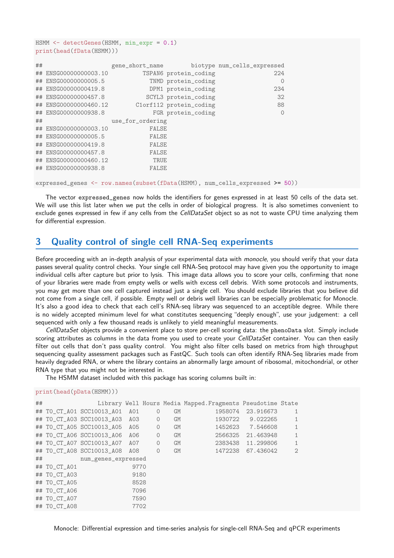HSMM  $\leq$  detectGenes(HSMM, min expr = 0.1) print(head(fData(HSMM)))

| ## |                       | gene_short_name  |                         | biotype num_cells_expressed |
|----|-----------------------|------------------|-------------------------|-----------------------------|
| ## | ENSG00000000003.10    |                  | TSPAN6 protein_coding   | 224                         |
|    | ## ENSG00000000005.5  |                  | TNMD protein_coding     | $\Omega$                    |
| ## | ENSG00000000419.8     |                  | DPM1 protein_coding     | 234                         |
|    | ## ENSG00000000457.8  |                  | SCYL3 protein_coding    | 32                          |
|    | ## ENSG00000000460.12 |                  | Clorf112 protein_coding | 88                          |
|    | ## ENSG00000000938.8  |                  | FGR protein_coding      | $\Omega$                    |
| ## |                       | use_for_ordering |                         |                             |
| ## | ENSG00000000003.10    | <b>FALSE</b>     |                         |                             |
|    | ## ENSG00000000005.5  | <b>FALSE</b>     |                         |                             |
|    | ## ENSG00000000419.8  | <b>FALSE</b>     |                         |                             |
|    | ## ENSG00000000457.8  | <b>FALSE</b>     |                         |                             |
|    | ## ENSG00000000460.12 | TRUE             |                         |                             |
|    | ## ENSG00000000938.8  | <b>FALSE</b>     |                         |                             |
|    |                       |                  |                         |                             |

expressed\_genes <- row.names(subset(fData(HSMM), num\_cells\_expressed >= 50))

The vector expressed\_genes now holds the identifiers for genes expressed in at least 50 cells of the data set. We will use this list later when we put the cells in order of biological progress. It is also sometimes convenient to exclude genes expressed in few if any cells from the CellDataSet object so as not to waste CPU time analyzing them for differential expression.

### <span id="page-2-0"></span>3 Quality control of single cell RNA-Seq experiments

Before proceeding with an in-depth analysis of your experimental data with monocle, you should verify that your data passes several quality control checks. Your single cell RNA-Seq protocol may have given you the opportunity to image individual cells after capture but prior to lysis. This image data allows you to score your cells, confirming that none of your libraries were made from empty wells or wells with excess cell debris. With some protocols and instruments, you may get more than one cell captured instead just a single cell. You should exclude libraries that you believe did not come from a single cell, if possible. Empty well or debris well libraries can be especially problematic for Monocle. It's also a good idea to check that each cell's RNA-seq library was sequenced to an acceptible degree. While there is no widely accepted minimum level for what constitutes seequencing "deeply enough", use your judgement: a cell sequenced with only a few thousand reads is unlikely to yield meaningful measurements.

CellDataSet objects provide a convenient place to store per-cell scoring data: the phenoData slot. Simply include scoring attributes as columns in the data frome you used to create your CellDataSet container. You can then easily filter out cells that don't pass quality control. You might also filter cells based on metrics from high throughput sequencing quality assessment packages such as FastQC. Such tools can often identify RNA-Seq libraries made from heavily degraded RNA, or where the library contains an abnormally large amount of ribosomal, mitochondrial, or other RNA type that you might not be interested in.

The HSMM dataset included with this package has scoring columns built in:

print(head(pData(HSMM)))

| ## |              |                           |      |         |    | Library Well Hours Media Mapped. Fragments Pseudotime State |                   |                |
|----|--------------|---------------------------|------|---------|----|-------------------------------------------------------------|-------------------|----------------|
|    |              | ## TO_CT_A01 SCC10013_A01 | AO1  | $\circ$ | GM | 1958074                                                     | 23.916673         | 1              |
|    |              | ## TO_CT_A03 SCC10013_A03 | A03  | $\circ$ | GM | 1930722                                                     | 9.022265          | 1              |
|    |              | ## TO CT A05 SCC10013 A05 | A05  | $\circ$ | GM | 1452623                                                     | 7.546608          | $\mathbf{1}$   |
|    |              | ## TO_CT_A06 SCC10013_A06 | A06  | $\circ$ | GM | 2566325                                                     | 21.463948         | $\mathbf{1}$   |
|    |              | ## TO CT A07 SCC10013 A07 | A07  | $\circ$ | GM |                                                             | 2383438 11.299806 | 1              |
|    |              | ## TO CT A08 SCC10013 A08 | A08  | $\circ$ | GM | 1472238                                                     | 67.436042         | $\mathfrak{D}$ |
| ## |              | num_genes_expressed       |      |         |    |                                                             |                   |                |
|    | ## TO_CT_A01 |                           | 9770 |         |    |                                                             |                   |                |
|    | ## TO CT A03 |                           | 9180 |         |    |                                                             |                   |                |
|    | ## TO_CT_A05 |                           | 8528 |         |    |                                                             |                   |                |
|    | ## TO CT A06 |                           | 7096 |         |    |                                                             |                   |                |
|    | ## TO CT A07 |                           | 7590 |         |    |                                                             |                   |                |
|    | ## TO CT A08 |                           | 7702 |         |    |                                                             |                   |                |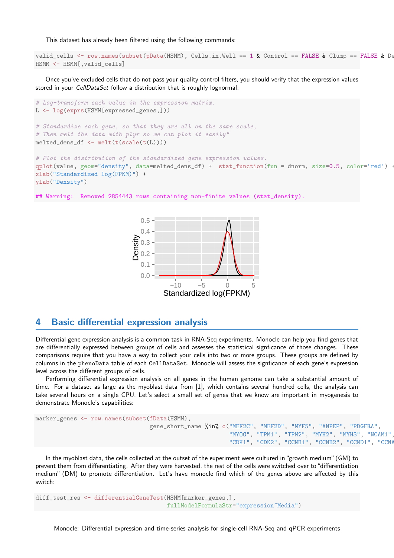This dataset has already been filtered using the following commands:

```
valid_cells \leq row.names(subset(pData(HSMM), Cells.in.Well == 1 & Control == FALSE & Clump == FALSE & De
HSMM <- HSMM[,valid_cells]
```
Once you've excluded cells that do not pass your quality control filters, you should verify that the expression values stored in your *CellDataSet* follow a distribution that is roughly lognormal:



```
## Warning: Removed 2854443 rows containing non-finite values (stat_density).
```


#### <span id="page-3-0"></span>4 Basic differential expression analysis

Differential gene expression analysis is a common task in RNA-Seq experiments. Monocle can help you find genes that are differentially expressed between groups of cells and assesses the statistical signficance of those changes. These comparisons require that you have a way to collect your cells into two or more groups. These groups are defined by columns in the phenoData table of each CellDataSet. Monocle will assess the signficance of each gene's expression level across the different groups of cells.

Performing differential expression analysis on all genes in the human genome can take a substantial amount of time. For a dataset as large as the myoblast data from [\[1\]](#page-12-0), which contains several hundred cells, the analysis can take several hours on a single CPU. Let's select a small set of genes that we know are important in myogenesis to demonstrate Monocle's capabilities:

```
marker_genes <- row.names(subset(fData(HSMM),
                                 gene_short_name %in% c("MEF2C", "MEF2D", "MYF5", "ANPEP", "PDGFRA",
                                                         "MYOG", "TPM1", "TPM2", "MYH2", "MYH3", "NCAM1",
                                                         "CDK1", "CDK2", "CCNB1", "CCNB2", "CCND1", "CCNA
```
In the myoblast data, the cells collected at the outset of the experiment were cultured in"growth medium"(GM) to prevent them from differentiating. After they were harvested, the rest of the cells were switched over to"differentiation medium" (DM) to promote differentiation. Let's have monocle find which of the genes above are affected by this switch:

```
diff_test_res <- differentialGeneTest(HSMM[marker_genes,],
                                      fullModelFormulaStr="expression~Media")
```
Monocle: Differential expression and time-series analysis for single-cell RNA-Seq and qPCR experiments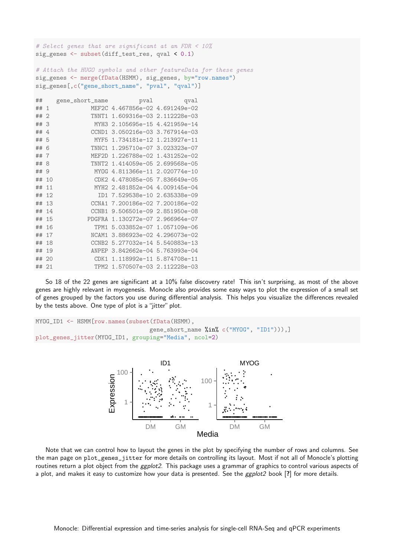# Select genes that are significant at an FDR < 10% sig\_genes <- subset(diff\_test\_res, qval < 0.1) # Attach the HUGO symbols and other featureData for these genes sig\_genes <- merge(fData(HSMM), sig\_genes, by="row.names") sig\_genes[,c("gene\_short\_name", "pval", "qval")] ## gene\_short\_name pval qval ## 1 MEF2C 4.467856e-02 4.691249e-02 ## 2 TNNT1 1.609316e-03 2.112228e-03 ## 3 MYH3 2.105695e-15 4.421959e-14 ## 4 CCND1 3.050216e-03 3.767914e-03 ## 5 MYF5 1.734181e-12 1.213927e-11 ## 6 TNNC1 1.295710e-07 3.023323e-07 ## 7 MEF2D 1.226788e-02 1.431252e-02 ## 8 TNNT2 1.414059e-05 2.699568e-05 ## 9 MYOG 4.811366e-11 2.020774e-10 ## 10 CDK2 4.478085e-05 7.836649e-05 ## 11 MYH2 2.481852e-04 4.009145e-04 ## 12 ID1 7.529538e-10 2.635338e-09 ## 13 CCNA1 7.200186e-02 7.200186e-02 ## 14 CCNB1 9.506501e-09 2.851950e-08 ## 15 PDGFRA 1.130272e-07 2.966964e-07 ## 16 TPM1 5.033852e-07 1.057109e-06 ## 17 NCAM1 3.886923e-02 4.296073e-02 ## 18 CCNB2 5.277032e-14 5.540883e-13 ## 19 ANPEP 3.842662e-04 5.763993e-04 ## 20 CDK1 1.118992e-11 5.874708e-11 ## 21 TPM2 1.570507e-03 2.112228e-03

So 18 of the 22 genes are significant at a 10% false discovery rate! This isn't surprising, as most of the above genes are highly relevant in myogenesis. Monocle also provides some easy ways to plot the expression of a small set of genes grouped by the factors you use during differential analysis. This helps you visualize the differences revealed by the tests above. One type of plot is a "jitter" plot.

```
MYOG_ID1 <- HSMM[row.names(subset(fData(HSMM),
                                 gene_short_name %in% c("MYOG", "ID1"))),]
plot_genes_jitter(MYOG_ID1, grouping="Media", ncol=2)
```


<span id="page-4-0"></span>Note that we can control how to layout the genes in the plot by specifying the number of rows and columns. See the man page on plot\_genes\_jitter for more details on controlling its layout. Most if not all of Monocle's plotting routines return a plot object from the *ggplot2*. This package uses a grammar of graphics to control various aspects of a plot, and makes it easy to customize how your data is presented. See the ggplot2 book [?] for more details.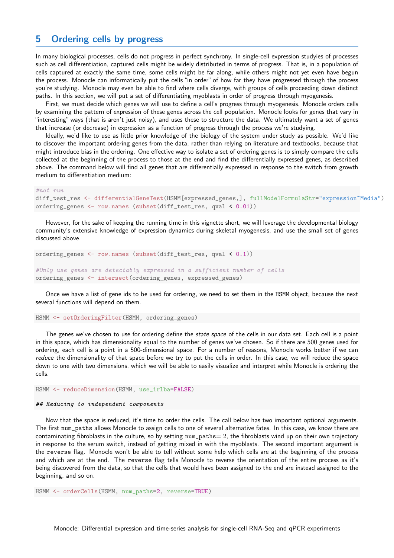#### 5 Ordering cells by progress

In many biological processes, cells do not progress in perfect synchrony. In single-cell expression studyies of processes such as cell differentiation, captured cells might be widely distributed in terms of progress. That is, in a population of cells captured at exactly the same time, some cells might be far along, while others might not yet even have begun the process. Monocle can informatically put the cells "in order" of how far they have progressed through the process you're studying. Monocle may even be able to find where cells diverge, with groups of cells proceeding down distinct paths. In this section, we will put a set of differentiating myoblasts in order of progress through myogenesis.

First, we must decide which genes we will use to define a cell's progress through myogenesis. Monocle orders cells by examining the pattern of expression of these genes across the cell population. Monocle looks for genes that vary in "interesting" ways (that is aren't just noisy), and uses these to structure the data. We ultimately want a set of genes that increase (or decrease) in expression as a function of progress through the process we're studying.

Ideally, we'd like to use as little prior knowledge of the biology of the system under study as possible. We'd like to discover the important ordering genes from the data, rather than relying on literature and textbooks, because that might introduce bias in the ordering. One effective way to isolate a set of ordering genes is to simply compare the cells collected at the beginning of the process to those at the end and find the differentially expressed genes, as described above. The command below will find all genes that are differentially expressed in response to the switch from growth medium to differentiation medium:

 $\#$ not  $run$ 

```
diff_test_res <- differentialGeneTest(HSMM[expressed_genes,], fullModelFormulaStr="expression~Media")
ordering_genes <- row.names (subset(diff_test_res, qval < 0.01))
```
However, for the sake of keeping the running time in this vignette short, we will leverage the developmental biology community's extensive knowledge of expression dynamics during skeletal myogenesis, and use the small set of genes discussed above.

```
ordering_genes <- row.names (subset(diff_test_res, qval < 0.1))
#Only use genes are detectably expressed in a sufficient number of cells
```
ordering\_genes <- intersect(ordering\_genes, expressed\_genes)

Once we have a list of gene ids to be used for ordering, we need to set them in the HSMM object, because the next several functions will depend on them.

HSMM <- setOrderingFilter(HSMM, ordering\_genes)

The genes we've chosen to use for ordering define the *state space* of the cells in our data set. Each cell is a point in this space, which has dimensionality equal to the number of genes we've chosen. So if there are 500 genes used for ordering, each cell is a point in a 500-dimensional space. For a number of reasons, Monocle works better if we can reduce the dimensionality of that space before we try to put the cells in order. In this case, we will reduce the space down to one with two dimensions, which we will be able to easily visualize and interpret while Monocle is ordering the cells.

HSMM <- reduceDimension(HSMM, use\_irlba=FALSE)

#### ## Reducing to independent components

Now that the space is reduced, it's time to order the cells. The call below has two important optional arguments. The first num\_paths allows Monocle to assign cells to one of several alternative fates. In this case, we know there are contaminating fibroblasts in the culture, so by setting  $num\_paths = 2$ , the fibroblasts wind up on their own trajectory in response to the serum switch, instead of getting mixed in with the myoblasts. The second important argument is the reverse flag. Monocle won't be able to tell without some help which cells are at the beginning of the process and which are at the end. The reverse flag tells Monocle to reverse the orientation of the entire process as it's being discovered from the data, so that the cells that would have been assigned to the end are instead assigned to the beginning, and so on.

HSMM <- orderCells(HSMM, num\_paths=2, reverse=TRUE)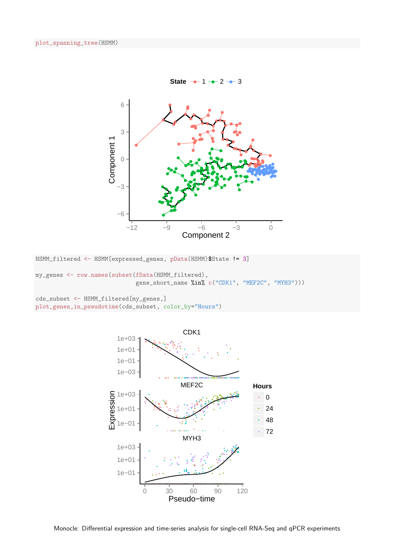

HSMM\_filtered <- HSMM[expressed\_genes, pData(HSMM)\$State != 3]

my\_genes <- row.names(subset(fData(HSMM\_filtered), gene\_short\_name %in% c("CDK1", "MEF2C", "MYH3")))

cds\_subset <- HSMM\_filtered[my\_genes,] plot\_genes\_in\_pseudotime(cds\_subset, color\_by="Hours")

![](_page_6_Figure_5.jpeg)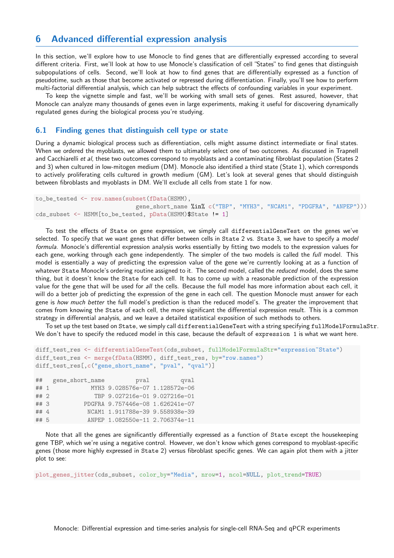#### <span id="page-7-0"></span>6 Advanced differential expression analysis

In this section, we'll explore how to use Monocle to find genes that are differentially expressed according to several different criteria. First, we'll look at how to use Monocle's classification of cell "States" to find genes that distinguish subpopulations of cells. Second, we'll look at how to find genes that are differentially expressed as a function of pseudotime, such as those that become activated or repressed during differentiation. Finally, you'll see how to perform multi-factorial differential analysis, which can help subtract the effects of confounding variables in your experiment.

To keep the vignette simple and fast, we'll be working with small sets of genes. Rest assured, however, that Monocle can analyze many thousands of genes even in large experiments, making it useful for discovering dynamically regulated genes during the biological process you're studying.

#### <span id="page-7-1"></span>6.1 Finding genes that distinguish cell type or state

During a dynamic biological process such as differentiation, cells might assume distinct intermediate or final states. When we ordered the myoblasts, we allowed them to ultimately select one of two outcomes. As discussed in Trapnell and Cacchiarelli et al, these two outcomes correspond to myoblasts and a contaminating fibroblast population (States 2 and 3) when cultured in low-mitogen medium (DM). Monocle also identified a third state (State 1), which corresponds to actively proliferating cells cultured in growth medium (GM). Let's look at several genes that should distinguish between fibroblasts and myoblasts in DM. We'll exclude all cells from state 1 for now.

```
to_be_tested <- row.names(subset(fData(HSMM),
                             gene_short_name %in% c("TBP", "MYH3", "NCAM1", "PDGFRA", "ANPEP")))
cds_subset <- HSMM[to_be_tested, pData(HSMM)$State != 1]
```
To test the effects of State on gene expression, we simply call differentialGeneTest on the genes we've selected. To specify that we want genes that differ between cells in State 2 vs. State 3, we have to specify a model formula. Monocle's differential expression analysis works essentially by fitting two models to the expression values for each gene, working through each gene independently. The simpler of the two models is called the full model. This model is essentially a way of predicting the expression value of the gene we're currently looking at as a function of whatever State Monocle's ordering routine assigned to it. The second model, called the reduced model, does the same thing, but it doesn't know the State for each cell. It has to come up with a reasonable prediction of the expression value for the gene that will be used for all the cells. Because the full model has more information about each cell, it will do a better job of predicting the expression of the gene in each cell. The question Monocle must answer for each gene is how much better the full model's prediction is than the reduced model's. The greater the improvement that comes from knowing the State of each cell, the more significant the differential expression result. This is a common strategy in differential analysis, and we leave a detailed statistical exposition of such methods to others.

To set up the test based on State, we simply call differentialGeneTest with a string specifying fullModelFormulaStr. We don't have to specify the reduced model in this case, because the default of expression 1 is what we want here.

```
diff_test_res <- differentialGeneTest(cds_subset, fullModelFormulaStr="expression~State")
diff_test_res <- merge(fData(HSMM), diff_test_res, by="row.names")
diff_test_res[,c("gene_short_name", "pval", "qval")]
```

| ##     | gene_short_name | pval                             | gval |
|--------|-----------------|----------------------------------|------|
| ## 1   |                 | MYH3 9.028576e-07 1.128572e-06   |      |
| $##$ 2 |                 | TBP 9.027216e-01 9.027216e-01    |      |
| ##3    |                 | PDGFRA 9.757446e-08 1.626241e-07 |      |
| ## 4   |                 | NCAM1 1.911788e-39 9.558938e-39  |      |
| ## 5   |                 | ANPEP 1.082550e-11 2.706374e-11  |      |

Note that all the genes are significantly differentially expressed as a function of State except the housekeeping gene TBP, which we're using a negative control. However, we don't know which genes correspond to myoblast-specific genes (those more highly expressed in State 2) versus fibroblast specific genes. We can again plot them with a jitter plot to see:

plot\_genes\_jitter(cds\_subset, color\_by="Media", nrow=1, ncol=NULL, plot\_trend=TRUE)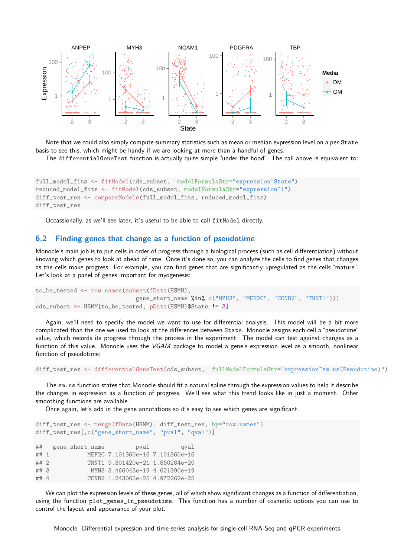![](_page_8_Figure_0.jpeg)

Note that we could also simply compute summary statistics such as mean or median expression level on a per-State basis to see this, which might be handy if we are looking at more than a handful of genes.

The differentialGeneTest function is actually quite simple "under the hood". The call above is equivalent to:

```
full_model_fits <- fitModel(cds_subset, modelFormulaStr="expression~State")
reduced_model_fits <- fitModel(cds_subset, modelFormulaStr="expression~1")
diff_test_res <- compareModels(full_model_fits, reduced_model_fits)
diff_test_res
```
Occassionally, as we'll see later, it's useful to be able to call fitModel directly.

#### <span id="page-8-0"></span>6.2 Finding genes that change as a function of pseudotime

Monocle's main job is to put cells in order of progress through a biological process (such as cell differentiation) without knowing which genes to look at ahead of time. Once it's done so, you can analyze the cells to find genes that changes as the cells make progress. For example, you can find genes that are significantly upregulated as the cells "mature". Let's look at a panel of genes important for myogenesis:

```
to_be_tested <- row.names(subset(fData(HSMM),
                             gene_short_name %in% c("MYH3", "MEF2C", "CCNB2", "TNNT1")))
cds_subset <- HSMM[to_be_tested, pData(HSMM)$State != 3]
```
Again, we'll need to specify the model we want to use for differential analysis. This model will be a bit more complicated than the one we used to look at the differences between State. Monocle assigns each cell a"pseudotime" value, which records its progress through the process in the experiment. The model can test against changes as a function of this value. Monocle uses the VGAM package to model a gene's expression level as a smooth, nonlinear function of pseudotime:

diff\_test\_res <- differentialGeneTest(cds\_subset, fullModelFormulaStr="expression~sm.ns(Pseudotime)")

The sm.ns function states that Monocle should fit a natural spline through the expression values to help it describe the changes in expression as a function of progress. We'll see what this trend looks like in just a moment. Other smoothing functions are available.

Once again, let's add in the gene annotations so it's easy to see which genes are significant.

```
diff_test_res <- merge(fData(HSMM), diff_test_res, by="row.names")
diff_test_res[,c("gene_short_name", "pval", "qval")]
## gene_short_name pval qval
## 1 MEF2C 7.101360e-16 7.101360e-16
## 2 TNNT1 9.301420e-21 1.860284e-20
## 3 MYH3 3.466043e-19 4.621390e-19
## 4 CCNB2 1.243065e-25 4.972262e-25
```
We can plot the expression levels of these genes, all of which show significant changes as a function of differentiation, using the function plot\_genes\_in\_pseudotime. This function has a number of cosmetic options you can use to control the layout and appearance of your plot.

Monocle: Differential expression and time-series analysis for single-cell RNA-Seq and qPCR experiments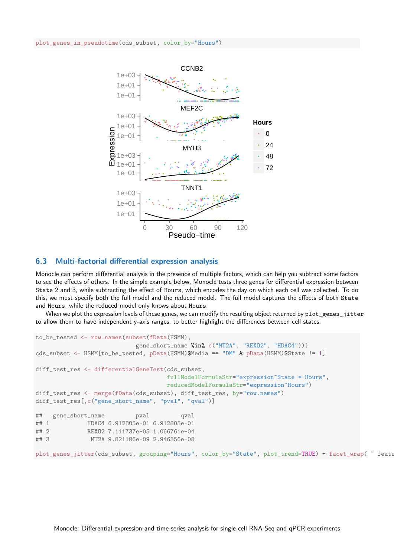![](_page_9_Figure_1.jpeg)

#### <span id="page-9-0"></span>6.3 Multi-factorial differential expression analysis

Monocle can perform differential analysis in the presence of multiple factors, which can help you subtract some factors to see the effects of others. In the simple example below, Monocle tests three genes for differential expression between State 2 and 3, while subtracting the effect of Hours, which encodes the day on which each cell was collected. To do this, we must specify both the full model and the reduced model. The full model captures the effects of both State and Hours, while the reduced model only knows about Hours.

When we plot the expression levels of these genes, we can modify the resulting object returned by plot\_genes\_jitter to allow them to have independent y-axis ranges, to better highlight the differences between cell states.

```
to_be_tested <- row.names(subset(fData(HSMM),
                           gene_short_name %in% c("MT2A", "REXO2", "HDAC4")))
cds subset <- HSMM[to be tested, pData(HSMM)$Media == "DM" & pData(HSMM)$State != 1]
diff_test_res <- differentialGeneTest(cds_subset,
                                    fullModelFormulaStr="expression~State * Hours",
                                    reducedModelFormulaStr="expression~Hours")
diff_test_res <- merge(fData(cds_subset), diff_test_res, by="row.names")
diff_test_res[,c("gene_short_name", "pval", "qval")]
## gene_short_name pval qval
## 1 HDAC4 6.912805e-01 6.912805e-01
## 2 REXO2 7.111737e-05 1.066761e-04
## 3 MT2A 9.821186e-09 2.946356e-08
plot genes jitter(cds subset, grouping="Hours", color by="State", plot trend=TRUE) + facet wrap( \degree featu
```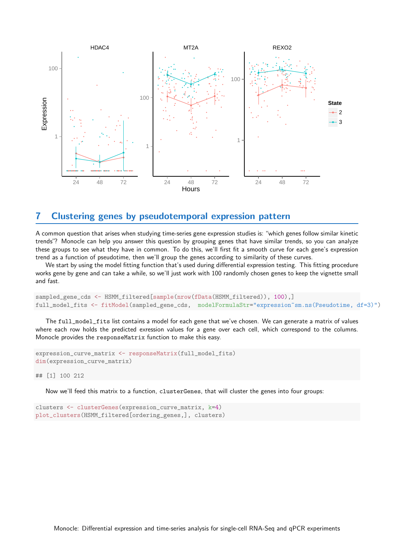![](_page_10_Figure_0.jpeg)

#### <span id="page-10-0"></span>7 Clustering genes by pseudotemporal expression pattern

A common question that arises when studying time-series gene expression studies is: "which genes follow similar kinetic trends"? Monocle can help you answer this question by grouping genes that have similar trends, so you can analyze these groups to see what they have in common. To do this, we'll first fit a smooth curve for each gene's expression trend as a function of pseudotime, then we'll group the genes according to similarity of these curves.

We start by using the model fitting function that's used during differential expression testing. This fitting procedure works gene by gene and can take a while, so we'll just work with 100 randomly chosen genes to keep the vignette small and fast.

```
sampled_gene_cds <- HSMM_filtered[sample(nrow(fData(HSMM_filtered)), 100),]
full_model_fits <- fitModel(sampled_gene_cds, modelFormulaStr="expression~sm.ns(Pseudotime, df=3)")
```
The full\_model\_fits list contains a model for each gene that we've chosen. We can generate a matrix of values where each row holds the predicted exression values for a gene over each cell, which correspond to the columns. Monocle provides the responseMatrix function to make this easy.

```
expression_curve_matrix <- responseMatrix(full_model_fits)
dim(expression_curve_matrix)
```
## [1] 100 212

Now we'll feed this matrix to a function, clusterGenes, that will cluster the genes into four groups:

```
clusters <- clusterGenes(expression_curve_matrix, k=4)
plot_clusters(HSMM_filtered[ordering_genes,], clusters)
```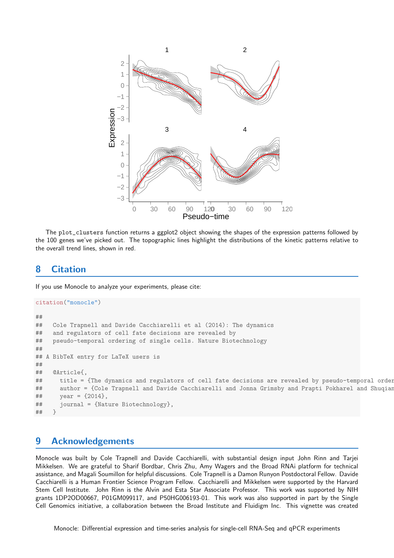![](_page_11_Figure_0.jpeg)

The plot\_clusters function returns a ggplot2 object showing the shapes of the expression patterns followed by the 100 genes we've picked out. The topographic lines highlight the distributions of the kinetic patterns relative to the overall trend lines, shown in red.

# <span id="page-11-0"></span>8 Citation

If you use Monocle to analyze your experiments, please cite:

```
citation("monocle")
##
## Cole Trapnell and Davide Cacchiarelli et al (2014): The dynamics
## and regulators of cell fate decisions are revealed by
## pseudo-temporal ordering of single cells. Nature Biotechnology
##
## A BibTeX entry for LaTeX users is
##
## @Article{,
## title = {The dynamics and regulators of cell fate decisions are revealed by pseudo-temporal order
## author = {Cole Trapnell and Davide Cacchiarelli and Jonna Grimsby and Prapti Pokharel and Shuqian
\# year = {2014},
## journal = {Nature Biotechnology},
## }
```
#### <span id="page-11-1"></span>9 Acknowledgements

Monocle was built by Cole Trapnell and Davide Cacchiarelli, with substantial design input John Rinn and Tarjei Mikkelsen. We are grateful to Sharif Bordbar, Chris Zhu, Amy Wagers and the Broad RNAi platform for technical assistance, and Magali Soumillon for helpful discussions. Cole Trapnell is a Damon Runyon Postdoctoral Fellow. Davide Cacchiarelli is a Human Frontier Science Program Fellow. Cacchiarelli and Mikkelsen were supported by the Harvard Stem Cell Institute. John Rinn is the Alvin and Esta Star Associate Professor. This work was supported by NIH grants 1DP2OD00667, P01GM099117, and P50HG006193-01. This work was also supported in part by the Single Cell Genomics initiative, a collaboration between the Broad Institute and Fluidigm Inc. This vignette was created